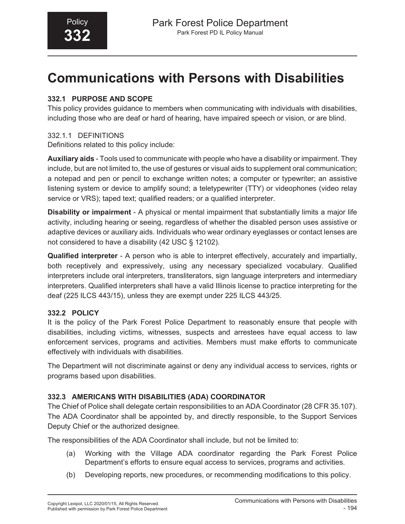# **Communications with Persons with Disabilities**

# **332.1 PURPOSE AND SCOPE**

This policy provides guidance to members when communicating with individuals with disabilities, including those who are deaf or hard of hearing, have impaired speech or vision, or are blind.

# 332.1.1 DEFINITIONS

Definitions related to this policy include:

**Auxiliary aids** - Tools used to communicate with people who have a disability or impairment. They include, but are not limited to, the use of gestures or visual aids to supplement oral communication; a notepad and pen or pencil to exchange written notes; a computer or typewriter; an assistive listening system or device to amplify sound; a teletypewriter (TTY) or videophones (video relay service or VRS); taped text; qualified readers; or a qualified interpreter.

**Disability or impairment** - A physical or mental impairment that substantially limits a major life activity, including hearing or seeing, regardless of whether the disabled person uses assistive or adaptive devices or auxiliary aids. Individuals who wear ordinary eyeglasses or contact lenses are not considered to have a disability (42 USC § 12102).

**Qualified interpreter** - A person who is able to interpret effectively, accurately and impartially, both receptively and expressively, using any necessary specialized vocabulary. Qualified interpreters include oral interpreters, transliterators, sign language interpreters and intermediary interpreters. Qualified interpreters shall have a valid Illinois license to practice interpreting for the deaf (225 ILCS 443/15), unless they are exempt under 225 ILCS 443/25.

# **332.2 POLICY**

It is the policy of the Park Forest Police Department to reasonably ensure that people with disabilities, including victims, witnesses, suspects and arrestees have equal access to law enforcement services, programs and activities. Members must make efforts to communicate effectively with individuals with disabilities.

The Department will not discriminate against or deny any individual access to services, rights or programs based upon disabilities.

# **332.3 AMERICANS WITH DISABILITIES (ADA) COORDINATOR**

The Chief of Police shall delegate certain responsibilities to an ADA Coordinator (28 CFR 35.107). The ADA Coordinator shall be appointed by, and directly responsible, to the Support Services Deputy Chief or the authorized designee.

The responsibilities of the ADA Coordinator shall include, but not be limited to:

- (a) Working with the Village ADA coordinator regarding the Park Forest Police Department's efforts to ensure equal access to services, programs and activities.
- (b) Developing reports, new procedures, or recommending modifications to this policy.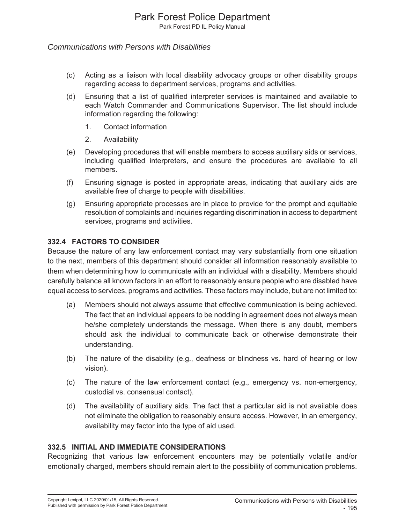#### *Communications with Persons with Disabilities*

- (c) Acting as a liaison with local disability advocacy groups or other disability groups regarding access to department services, programs and activities.
- (d) Ensuring that a list of qualified interpreter services is maintained and available to each Watch Commander and Communications Supervisor. The list should include information regarding the following:
	- 1. Contact information
	- 2. Availability
- (e) Developing procedures that will enable members to access auxiliary aids or services, including qualified interpreters, and ensure the procedures are available to all members.
- (f) Ensuring signage is posted in appropriate areas, indicating that auxiliary aids are available free of charge to people with disabilities.
- (g) Ensuring appropriate processes are in place to provide for the prompt and equitable resolution of complaints and inquiries regarding discrimination in access to department services, programs and activities.

#### **332.4 FACTORS TO CONSIDER**

Because the nature of any law enforcement contact may vary substantially from one situation to the next, members of this department should consider all information reasonably available to them when determining how to communicate with an individual with a disability. Members should carefully balance all known factors in an effort to reasonably ensure people who are disabled have equal access to services, programs and activities. These factors may include, but are not limited to:

- (a) Members should not always assume that effective communication is being achieved. The fact that an individual appears to be nodding in agreement does not always mean he/she completely understands the message. When there is any doubt, members should ask the individual to communicate back or otherwise demonstrate their understanding.
- (b) The nature of the disability (e.g., deafness or blindness vs. hard of hearing or low vision).
- (c) The nature of the law enforcement contact (e.g., emergency vs. non-emergency, custodial vs. consensual contact).
- (d) The availability of auxiliary aids. The fact that a particular aid is not available does not eliminate the obligation to reasonably ensure access. However, in an emergency, availability may factor into the type of aid used.

#### **332.5 INITIAL AND IMMEDIATE CONSIDERATIONS**

Recognizing that various law enforcement encounters may be potentially volatile and/or emotionally charged, members should remain alert to the possibility of communication problems.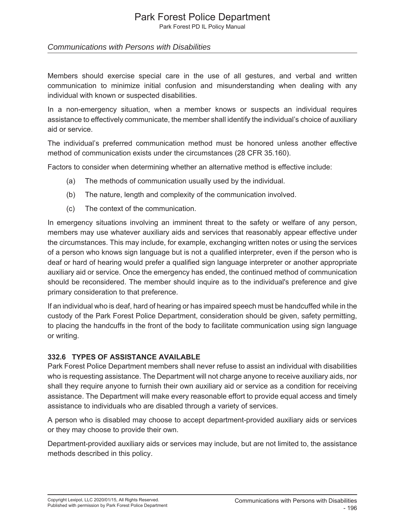Park Forest PD IL Policy Manual

### *Communications with Persons with Disabilities*

Members should exercise special care in the use of all gestures, and verbal and written communication to minimize initial confusion and misunderstanding when dealing with any individual with known or suspected disabilities.

In a non-emergency situation, when a member knows or suspects an individual requires assistance to effectively communicate, the member shall identify the individual's choice of auxiliary aid or service.

The individual's preferred communication method must be honored unless another effective method of communication exists under the circumstances (28 CFR 35.160).

Factors to consider when determining whether an alternative method is effective include:

- (a) The methods of communication usually used by the individual.
- (b) The nature, length and complexity of the communication involved.
- (c) The context of the communication.

In emergency situations involving an imminent threat to the safety or welfare of any person, members may use whatever auxiliary aids and services that reasonably appear effective under the circumstances. This may include, for example, exchanging written notes or using the services of a person who knows sign language but is not a qualified interpreter, even if the person who is deaf or hard of hearing would prefer a qualified sign language interpreter or another appropriate auxiliary aid or service. Once the emergency has ended, the continued method of communication should be reconsidered. The member should inquire as to the individual's preference and give primary consideration to that preference.

If an individual who is deaf, hard of hearing or has impaired speech must be handcuffed while in the custody of the Park Forest Police Department, consideration should be given, safety permitting, to placing the handcuffs in the front of the body to facilitate communication using sign language or writing.

#### **332.6 TYPES OF ASSISTANCE AVAILABLE**

Park Forest Police Department members shall never refuse to assist an individual with disabilities who is requesting assistance. The Department will not charge anyone to receive auxiliary aids, nor shall they require anyone to furnish their own auxiliary aid or service as a condition for receiving assistance. The Department will make every reasonable effort to provide equal access and timely assistance to individuals who are disabled through a variety of services.

A person who is disabled may choose to accept department-provided auxiliary aids or services or they may choose to provide their own.

Department-provided auxiliary aids or services may include, but are not limited to, the assistance methods described in this policy.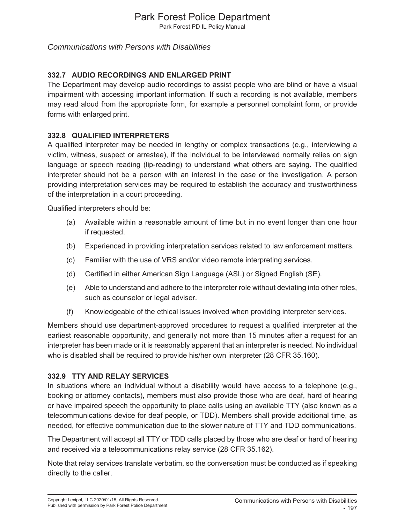Park Forest PD IL Policy Manual

### *Communications with Persons with Disabilities*

# **332.7 AUDIO RECORDINGS AND ENLARGED PRINT**

The Department may develop audio recordings to assist people who are blind or have a visual impairment with accessing important information. If such a recording is not available, members may read aloud from the appropriate form, for example a personnel complaint form, or provide forms with enlarged print.

### **332.8 QUALIFIED INTERPRETERS**

A qualified interpreter may be needed in lengthy or complex transactions (e.g., interviewing a victim, witness, suspect or arrestee), if the individual to be interviewed normally relies on sign language or speech reading (lip-reading) to understand what others are saying. The qualified interpreter should not be a person with an interest in the case or the investigation. A person providing interpretation services may be required to establish the accuracy and trustworthiness of the interpretation in a court proceeding.

Qualified interpreters should be:

- (a) Available within a reasonable amount of time but in no event longer than one hour if requested.
- (b) Experienced in providing interpretation services related to law enforcement matters.
- (c) Familiar with the use of VRS and/or video remote interpreting services.
- (d) Certified in either American Sign Language (ASL) or Signed English (SE).
- (e) Able to understand and adhere to the interpreter role without deviating into other roles, such as counselor or legal adviser.
- (f) Knowledgeable of the ethical issues involved when providing interpreter services.

Members should use department-approved procedures to request a qualified interpreter at the earliest reasonable opportunity, and generally not more than 15 minutes after a request for an interpreter has been made or it is reasonably apparent that an interpreter is needed. No individual who is disabled shall be required to provide his/her own interpreter (28 CFR 35.160).

#### **332.9 TTY AND RELAY SERVICES**

In situations where an individual without a disability would have access to a telephone (e.g., booking or attorney contacts), members must also provide those who are deaf, hard of hearing or have impaired speech the opportunity to place calls using an available TTY (also known as a telecommunications device for deaf people, or TDD). Members shall provide additional time, as needed, for effective communication due to the slower nature of TTY and TDD communications.

The Department will accept all TTY or TDD calls placed by those who are deaf or hard of hearing and received via a telecommunications relay service (28 CFR 35.162).

Note that relay services translate verbatim, so the conversation must be conducted as if speaking directly to the caller.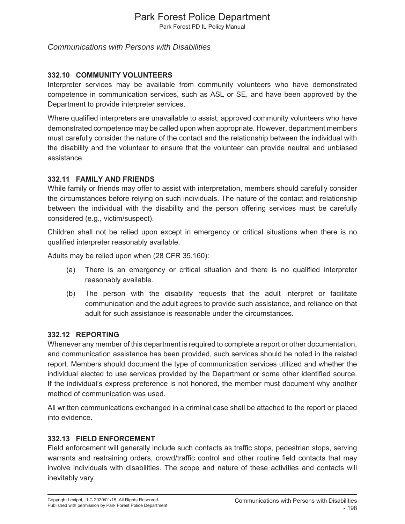Park Forest PD IL Policy Manual

### *Communications with Persons with Disabilities*

### **332.10 COMMUNITY VOLUNTEERS**

Interpreter services may be available from community volunteers who have demonstrated competence in communication services, such as ASL or SE, and have been approved by the Department to provide interpreter services.

Where qualified interpreters are unavailable to assist, approved community volunteers who have demonstrated competence may be called upon when appropriate. However, department members must carefully consider the nature of the contact and the relationship between the individual with the disability and the volunteer to ensure that the volunteer can provide neutral and unbiased assistance.

#### **332.11 FAMILY AND FRIENDS**

While family or friends may offer to assist with interpretation, members should carefully consider the circumstances before relying on such individuals. The nature of the contact and relationship between the individual with the disability and the person offering services must be carefully considered (e.g., victim/suspect).

Children shall not be relied upon except in emergency or critical situations when there is no qualified interpreter reasonably available.

Adults may be relied upon when (28 CFR 35.160):

- (a) There is an emergency or critical situation and there is no qualified interpreter reasonably available.
- (b) The person with the disability requests that the adult interpret or facilitate communication and the adult agrees to provide such assistance, and reliance on that adult for such assistance is reasonable under the circumstances.

#### **332.12 REPORTING**

Whenever any member of this department is required to complete a report or other documentation, and communication assistance has been provided, such services should be noted in the related report. Members should document the type of communication services utilized and whether the individual elected to use services provided by the Department or some other identified source. If the individual's express preference is not honored, the member must document why another method of communication was used.

All written communications exchanged in a criminal case shall be attached to the report or placed into evidence.

#### **332.13 FIELD ENFORCEMENT**

Field enforcement will generally include such contacts as traffic stops, pedestrian stops, serving warrants and restraining orders, crowd/traffic control and other routine field contacts that may involve individuals with disabilities. The scope and nature of these activities and contacts will inevitably vary.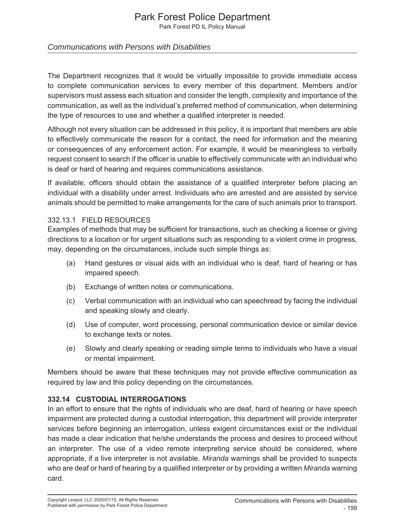Park Forest PD IL Policy Manual

# *Communications with Persons with Disabilities*

The Department recognizes that it would be virtually impossible to provide immediate access to complete communication services to every member of this department. Members and/or supervisors must assess each situation and consider the length, complexity and importance of the communication, as well as the individual's preferred method of communication, when determining the type of resources to use and whether a qualified interpreter is needed.

Although not every situation can be addressed in this policy, it is important that members are able to effectively communicate the reason for a contact, the need for information and the meaning or consequences of any enforcement action. For example, it would be meaningless to verbally request consent to search if the officer is unable to effectively communicate with an individual who is deaf or hard of hearing and requires communications assistance.

If available, officers should obtain the assistance of a qualified interpreter before placing an individual with a disability under arrest. Individuals who are arrested and are assisted by service animals should be permitted to make arrangements for the care of such animals prior to transport.

#### 332.13.1 FIELD RESOURCES

Examples of methods that may be sufficient for transactions, such as checking a license or giving directions to a location or for urgent situations such as responding to a violent crime in progress, may, depending on the circumstances, include such simple things as:

- (a) Hand gestures or visual aids with an individual who is deaf, hard of hearing or has impaired speech.
- (b) Exchange of written notes or communications.
- (c) Verbal communication with an individual who can speechread by facing the individual and speaking slowly and clearly.
- (d) Use of computer, word processing, personal communication device or similar device to exchange texts or notes.
- (e) Slowly and clearly speaking or reading simple terms to individuals who have a visual or mental impairment.

Members should be aware that these techniques may not provide effective communication as required by law and this policy depending on the circumstances.

#### **332.14 CUSTODIAL INTERROGATIONS**

In an effort to ensure that the rights of individuals who are deaf, hard of hearing or have speech impairment are protected during a custodial interrogation, this department will provide interpreter services before beginning an interrogation, unless exigent circumstances exist or the individual has made a clear indication that he/she understands the process and desires to proceed without an interpreter. The use of a video remote interpreting service should be considered, where appropriate, if a live interpreter is not available. *Miranda* warnings shall be provided to suspects who are deaf or hard of hearing by a qualified interpreter or by providing a written *Miranda* warning card.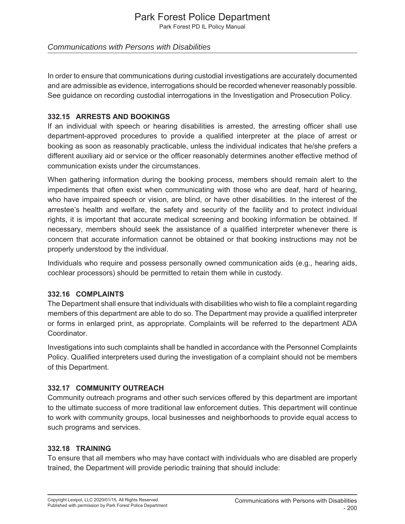Park Forest PD IL Policy Manual

# *Communications with Persons with Disabilities*

In order to ensure that communications during custodial investigations are accurately documented and are admissible as evidence, interrogations should be recorded whenever reasonably possible. See guidance on recording custodial interrogations in the Investigation and Prosecution Policy.

### **332.15 ARRESTS AND BOOKINGS**

If an individual with speech or hearing disabilities is arrested, the arresting officer shall use department-approved procedures to provide a qualified interpreter at the place of arrest or booking as soon as reasonably practicable, unless the individual indicates that he/she prefers a different auxiliary aid or service or the officer reasonably determines another effective method of communication exists under the circumstances.

When gathering information during the booking process, members should remain alert to the impediments that often exist when communicating with those who are deaf, hard of hearing, who have impaired speech or vision, are blind, or have other disabilities. In the interest of the arrestee's health and welfare, the safety and security of the facility and to protect individual rights, it is important that accurate medical screening and booking information be obtained. If necessary, members should seek the assistance of a qualified interpreter whenever there is concern that accurate information cannot be obtained or that booking instructions may not be properly understood by the individual.

Individuals who require and possess personally owned communication aids (e.g., hearing aids, cochlear processors) should be permitted to retain them while in custody.

#### **332.16 COMPLAINTS**

The Department shall ensure that individuals with disabilities who wish to file a complaint regarding members of this department are able to do so. The Department may provide a qualified interpreter or forms in enlarged print, as appropriate. Complaints will be referred to the department ADA Coordinator.

Investigations into such complaints shall be handled in accordance with the Personnel Complaints Policy. Qualified interpreters used during the investigation of a complaint should not be members of this Department.

# **332.17 COMMUNITY OUTREACH**

Community outreach programs and other such services offered by this department are important to the ultimate success of more traditional law enforcement duties. This department will continue to work with community groups, local businesses and neighborhoods to provide equal access to such programs and services.

# **332.18 TRAINING**

To ensure that all members who may have contact with individuals who are disabled are properly trained, the Department will provide periodic training that should include: